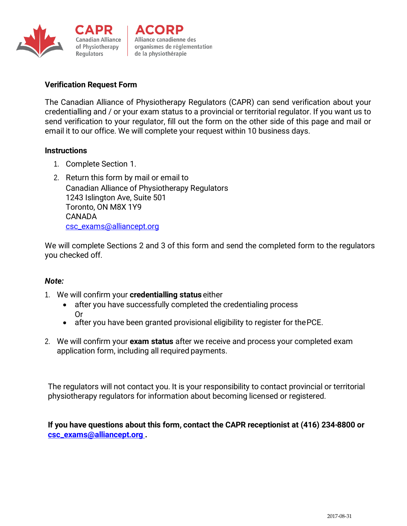



Alliance canadienne des organismes de réglementation de la physiothérapie

# **Verification Request Form**

The Canadian Alliance of Physiotherapy Regulators (CAPR) can send verification about your credentialling and / or your exam status to a provincial or territorial regulator. If you want us to send verification to your regulator, fill out the form on the other side of this page and mail or email it to our office. We will complete your request within 10 business days.

### **Instructions**

- 1. Complete Section 1.
- 2. Return this form by mail or email to Canadian Alliance of Physiotherapy Regulators 1243 Islington Ave, Suite 501 Toronto, ON M8X 1Y9 CANADA [csc\\_exams@alliancept.org](mailto:erin.gollaher@alliancept.org)

We will complete Sections 2 and 3 of this form and send the completed form to the regulators you checked off.

## *Note:*

- 1. We will confirm your **credentialling status** either
	- after you have successfully completed the credentialing process Or
	- after you have been granted provisional eligibility to register for thePCE.
- 2. We will confirm your **exam status** after we receive and process your completed exam application form, including all required payments.

The regulators will not contact you. It is your responsibility to contact provincial or territorial physiotherapy regulators for information about becoming licensed or registered.

**If you have questions about this form, contact the CAPR receptionist at (416) 234-8800 or [csc\\_exams@alliancept.org .](mailto:erin.gollaher@alliancept.org)**